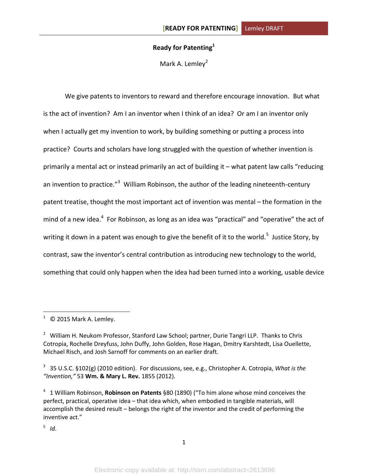# **Ready for Patenting<sup>1</sup>**

Mark A. Lemlev $2$ 

We give patents to inventors to reward and therefore encourage innovation. But what is the act of invention? Am I an inventor when I think of an idea? Or am I an inventor only when I actually get my invention to work, by building something or putting a process into practice? Courts and scholars have long struggled with the question of whether invention is primarily a mental act or instead primarily an act of building it – what patent law calls "reducing an invention to practice."<sup>3</sup> William Robinson, the author of the leading nineteenth-century patent treatise, thought the most important act of invention was mental – the formation in the mind of a new idea.<sup>4</sup> For Robinson, as long as an idea was "practical" and "operative" the act of writing it down in a patent was enough to give the benefit of it to the world.<sup>5</sup> Justice Story, by contrast, saw the inventor's central contribution as introducing new technology to the world, something that could only happen when the idea had been turned into a working, usable device

5 *Id*.

l

<sup>1</sup> © 2015 Mark A. Lemley.

<sup>&</sup>lt;sup>2</sup> William H. Neukom Professor, Stanford Law School; partner, Durie Tangri LLP. Thanks to Chris Cotropia, Rochelle Dreyfuss, John Duffy, John Golden, Rose Hagan, Dmitry Karshtedt, Lisa Ouellette, Michael Risch, and Josh Sarnoff for comments on an earlier draft.

<sup>3</sup> 35 U.S.C. §102(g) (2010 edition). For discussions, see, e.g., Christopher A. Cotropia, *What is the "Invention,"* 53 **Wm. & Mary L. Rev.** 1855 (2012).

<sup>4</sup> 1 William Robinson, **Robinson on Patents** §80 (1890) ("To him alone whose mind conceives the perfect, practical, operative idea – that idea which, when embodied in tangible materials, will accomplish the desired result – belongs the right of the inventor and the credit of performing the inventive act."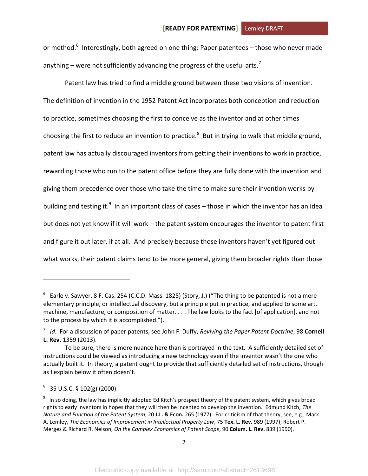or method.<sup>6</sup> Interestingly, both agreed on one thing: Paper patentees – those who never made anything – were not sufficiently advancing the progress of the useful arts.<sup>7</sup>

Patent law has tried to find a middle ground between these two visions of invention. The definition of invention in the 1952 Patent Act incorporates both conception and reduction to practice, sometimes choosing the first to conceive as the inventor and at other times choosing the first to reduce an invention to practice.<sup>8</sup> But in trying to walk that middle ground, patent law has actually discouraged inventors from getting their inventions to work in practice, rewarding those who run to the patent office before they are fully done with the invention and giving them precedence over those who take the time to make sure their invention works by building and testing it.<sup>9</sup> In an important class of cases – those in which the inventor has an idea but does not yet know if it will work – the patent system encourages the inventor to patent first and figure it out later, if at all. And precisely because those inventors haven't yet figured out what works, their patent claims tend to be more general, giving them broader rights than those

 $^6$  Earle v. Sawyer, 8 F. Cas. 254 (C.C.D. Mass. 1825) (Story, J.) ("The thing to be patented is not a mere elementary principle, or intellectual discovery, but a principle put in practice, and applied to some art, machine, manufacture, or composition of matter. . . . The law looks to the fact [of application], and not to the process by which it is accomplished.").

<sup>7</sup> *Id*. For a discussion of paper patents, see John F. Duffy, *Reviving the Paper Patent Doctrine*, 98 **Cornell L. Rev.** 1359 (2013).

To be sure, there is more nuance here than is portrayed in the text. A sufficiently detailed set of instructions could be viewed as introducing a new technology even if the inventor wasn't the one who actually built it. In theory, a patent ought to provide that sufficiently detailed set of instructions, though as I explain below it often doesn't.

 $8\,$  35 U.S.C. § 102(g) (2000).

 $9$  In so doing, the law has implicitly adopted Ed Kitch's prospect theory of the patent system, which gives broad rights to early inventors in hopes that they will then be incented to develop the invention. Edmund Kitch, *The Nature and Function of the Patent System*, 20 **J.L. & Econ.** 265 (1977). For criticism of that theory, see, e.g., Mark A. Lemley, *The Economics of Improvement in Intellectual Property Law*, 75 **Tex. L. Rev.** 989 (1997); Robert P. Merges & Richard R. Nelson, *On the Complex Economics of Patent Scope*, 90 **Colum. L. Rev.** 839 (1990).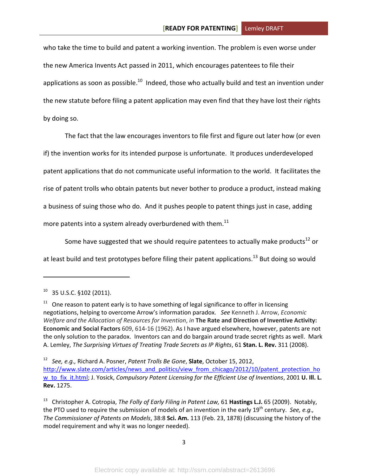who take the time to build and patent a working invention. The problem is even worse under the new America Invents Act passed in 2011, which encourages patentees to file their applications as soon as possible.<sup>10</sup> Indeed, those who actually build and test an invention under the new statute before filing a patent application may even find that they have lost their rights by doing so.

The fact that the law encourages inventors to file first and figure out later how (or even if) the invention works for its intended purpose is unfortunate. It produces underdeveloped patent applications that do not communicate useful information to the world. It facilitates the rise of patent trolls who obtain patents but never bother to produce a product, instead making a business of suing those who do. And it pushes people to patent things just in case, adding more patents into a system already overburdened with them. $^{11}$ 

Some have suggested that we should require patentees to actually make products<sup>12</sup> or

at least build and test prototypes before filing their patent applications.<sup>13</sup> But doing so would

 $10$  35 U.S.C. §102 (2011).

 $11$  One reason to patent early is to have something of legal significance to offer in licensing negotiations, helping to overcome Arrow's information paradox. *See* Kenneth J. Arrow, *Economic Welfare and the Allocation of Resources for Invention*, *in* **The Rate and Direction of Inventive Activity: Economic and Social Factors** 609, 614-16 (1962). As I have argued elsewhere, however, patents are not the only solution to the paradox. Inventors can and do bargain around trade secret rights as well. Mark A. Lemley, *The Surprising Virtues of Treating Trade Secrets as IP Rights*, 61 **Stan. L. Rev.** 311 (2008).

<sup>12</sup> *See, e.g.,* Richard A. Posner, *Patent Trolls Be Gone*, **Slate**, October 15, 2012, [http://www.slate.com/articles/news\\_and\\_politics/view\\_from\\_chicago/2012/10/patent\\_protection\\_ho](http://www.slate.com/articles/news_and_politics/view_from_chicago/2012/10/patent_protection_how_to_fix_it.html) [w\\_to\\_fix\\_it.html;](http://www.slate.com/articles/news_and_politics/view_from_chicago/2012/10/patent_protection_how_to_fix_it.html) J. Yosick, *Compulsory Patent Licensing for the Efficient Use of Inventions*, 2001 **U. III. L. Rev.** 1275.

<sup>13</sup> Christopher A. Cotropia, *The Folly of Early Filing in Patent Law,* 61 **Hastings L.J.** 65 (2009). Notably, the PTO used to require the submission of models of an invention in the early 19<sup>th</sup> century. *See, e.g.*, *The Commissioner of Patents on Models*, 38:8 **Sci. Am.** 113 (Feb. 23, 1878) (discussing the history of the model requirement and why it was no longer needed).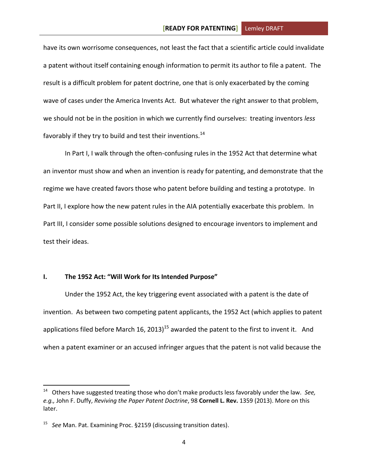have its own worrisome consequences, not least the fact that a scientific article could invalidate a patent without itself containing enough information to permit its author to file a patent. The result is a difficult problem for patent doctrine, one that is only exacerbated by the coming wave of cases under the America Invents Act. But whatever the right answer to that problem, we should not be in the position in which we currently find ourselves: treating inventors *less*  favorably if they try to build and test their inventions.<sup>14</sup>

In Part I, I walk through the often-confusing rules in the 1952 Act that determine what an inventor must show and when an invention is ready for patenting, and demonstrate that the regime we have created favors those who patent before building and testing a prototype. In Part II, I explore how the new patent rules in the AIA potentially exacerbate this problem. In Part III, I consider some possible solutions designed to encourage inventors to implement and test their ideas.

### **I. The 1952 Act: "Will Work for Its Intended Purpose"**

Under the 1952 Act, the key triggering event associated with a patent is the date of invention. As between two competing patent applicants, the 1952 Act (which applies to patent applications filed before March 16, 2013)<sup>15</sup> awarded the patent to the first to invent it. And when a patent examiner or an accused infringer argues that the patent is not valid because the

<sup>&</sup>lt;sup>14</sup> Others have suggested treating those who don't make products less favorably under the law. See, *e.g.,* John F. Duffy, *Reviving the Paper Patent Doctrine*, 98 **Cornell L. Rev.** 1359 (2013). More on this later.

<sup>15</sup> *See* Man. Pat. Examining Proc. §2159 (discussing transition dates).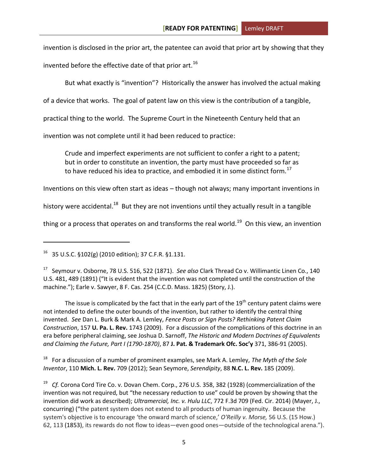invention is disclosed in the prior art, the patentee can avoid that prior art by showing that they

invented before the effective date of that prior art.<sup>16</sup>

But what exactly is "invention"? Historically the answer has involved the actual making

of a device that works. The goal of patent law on this view is the contribution of a tangible,

practical thing to the world. The Supreme Court in the Nineteenth Century held that an

invention was not complete until it had been reduced to practice:

Crude and imperfect experiments are not sufficient to confer a right to a patent; but in order to constitute an invention, the party must have proceeded so far as to have reduced his idea to practice, and embodied it in some distinct form.<sup>17</sup>

Inventions on this view often start as ideas – though not always; many important inventions in

history were accidental.<sup>18</sup> But they are not inventions until they actually result in a tangible

thing or a process that operates on and transforms the real world.<sup>19</sup> On this view, an invention

 $\overline{a}$ 

The issue is complicated by the fact that in the early part of the  $19<sup>th</sup>$  century patent claims were not intended to define the outer bounds of the invention, but rather to identify the central thing invented. *See* Dan L. Burk & Mark A. Lemley, *Fence Posts or Sign Posts? Rethinking Patent Claim Construction*, 157 **U. Pa. L. Rev.** 1743 (2009). For a discussion of the complications of this doctrine in an era before peripheral claiming, see Joshua D. Sarnoff, *The Historic and Modern Doctrines of Equivalents and Claiming the Future, Part I (1790-1870)*, 87 **J. Pat. & Trademark Ofc. Soc'y** 371, 386-91 (2005).

18 For a discussion of a number of prominent examples, see Mark A. Lemley, *The Myth of the Sole Inventor*, 110 **Mich. L. Rev.** 709 (2012); Sean Seymore, *Serendipity*, 88 **N.C. L. Rev.** 185 (2009).

19 *Cf.* Corona Cord Tire Co. v. Dovan Chem. Corp., 276 U.S. 358, 382 (1928) (commercialization of the invention was not required, but "the necessary reduction to use" could be proven by showing that the invention did work as described); *Ultramercial, Inc. v. Hulu LLC*, 772 F.3d 709 (Fed. Cir. 2014) (Mayer, J., concurring) ("the patent system does not extend to all products of human ingenuity. Because the system's objective is to encourage 'the onward march of science,' *O'Reilly v. Morse,* 56 U.S. (15 How.) 62, 113 (1853), its rewards do not flow to ideas—even good ones—outside of the technological arena.").

<sup>16</sup> 35 U.S.C. §102(g) (2010 edition); 37 C.F.R. §1.131.

<sup>17</sup> Seymour v. Osborne, 78 U.S. 516, 522 (1871). *See also* Clark Thread Co v. Willimantic Linen Co., 140 U.S. 481, 489 (1891) ("It is evident that the invention was not completed until the construction of the machine."); Earle v. Sawyer, 8 F. Cas. 254 (C.C.D. Mass. 1825) (Story, J.).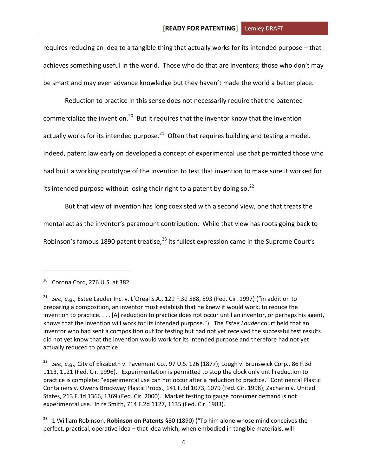requires reducing an idea to a tangible thing that actually works for its intended purpose – that achieves something useful in the world. Those who do that are inventors; those who don't may be smart and may even advance knowledge but they haven't made the world a better place.

Reduction to practice in this sense does not necessarily require that the patentee commercialize the invention.<sup>20</sup> But it requires that the inventor know that the invention actually works for its intended purpose.<sup>21</sup> Often that requires building and testing a model. Indeed, patent law early on developed a concept of experimental use that permitted those who had built a working prototype of the invention to test that invention to make sure it worked for its intended purpose without losing their right to a patent by doing so.<sup>22</sup>

But that view of invention has long coexisted with a second view, one that treats the

mental act as the inventor's paramount contribution. While that view has roots going back to

Robinson's famous 1890 patent treatise, $^{23}$  its fullest expression came in the Supreme Court's

 $20$  Corona Cord, 276 U.S. at 382.

<sup>21</sup> *See, e.g.,* Estee Lauder Inc. v. L'Oreal S.A., 129 F.3d 588, 593 (Fed. Cir. 1997) ("in addition to preparing a composition, an inventor must establish that he knew it would work, to reduce the invention to practice. . . . [A] reduction to practice does not occur until an inventor, or perhaps his agent, knows that the invention will work for its intended purpose."). The *Estee Lauder* court held that an inventor who had sent a composition out for testing but had not yet received the successful test results did not yet know that the invention would work for its intended purpose and therefore had not yet actually reduced to practice.

<sup>22</sup> *See, e.g.,* City of Elizabeth v. Pavement Co., 97 U.S. 126 (1877); Lough v. Brunswick Corp., 86 F.3d 1113, 1121 (Fed. Cir. 1996). Experimentation is permitted to stop the clock only until reduction to practice is complete; "experimental use can not occur after a reduction to practice." Continental Plastic Containers v. Owens Brockway Plastic Prods., 141 F.3d 1073, 1079 (Fed. Cir. 1998); Zacharin v. United States, 213 F.3d 1366, 1369 (Fed. Cir. 2000). Market testing to gauge consumer demand is not experimental use. In re Smith, 714 F.2d 1127, 1135 (Fed. Cir. 1983).

<sup>23</sup> 1 William Robinson, **Robinson on Patents** §80 (1890) ("To him alone whose mind conceives the perfect, practical, operative idea – that idea which, when embodied in tangible materials, will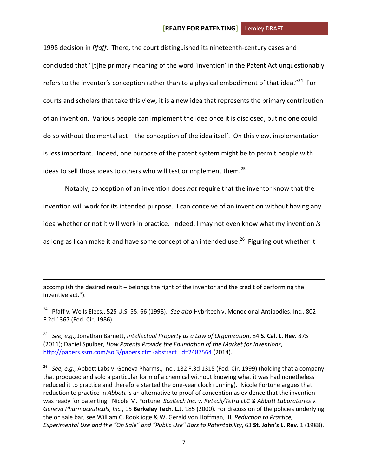1998 decision in *Pfaff*. There, the court distinguished its nineteenth-century cases and concluded that "[t]he primary meaning of the word 'invention' in the Patent Act unquestionably refers to the inventor's conception rather than to a physical embodiment of that idea."<sup>24</sup> For courts and scholars that take this view, it is a new idea that represents the primary contribution of an invention. Various people can implement the idea once it is disclosed, but no one could do so without the mental act – the conception of the idea itself. On this view, implementation is less important. Indeed, one purpose of the patent system might be to permit people with ideas to sell those ideas to others who will test or implement them.<sup>25</sup>

Notably, conception of an invention does *not* require that the inventor know that the invention will work for its intended purpose. I can conceive of an invention without having any idea whether or not it will work in practice. Indeed, I may not even know what my invention *is*  as long as I can make it and have some concept of an intended use.<sup>26</sup> Figuring out whether it

accomplish the desired result – belongs the right of the inventor and the credit of performing the inventive act.").

l

24 Pfaff v. Wells Elecs., 525 U.S. 55, 66 (1998). *See also* Hybritech v. Monoclonal Antibodies, Inc., 802 F.2d 1367 (Fed. Cir. 1986).

25 *See, e.g.,* Jonathan Barnett, *Intellectual Property as a Law of Organization*, 84 **S. Cal. L. Rev.** 875 (2011); Daniel Spulber, *How Patents Provide the Foundation of the Market for Inventions*, [http://papers.ssrn.com/sol3/papers.cfm?abstract\\_id=2487564](http://papers.ssrn.com/sol3/papers.cfm?abstract_id=2487564) (2014).

26 *See, e.g.,* Abbott Labs v. Geneva Pharms., Inc., 182 F.3d 1315 (Fed. Cir. 1999) (holding that a company that produced and sold a particular form of a chemical without knowing what it was had nonetheless reduced it to practice and therefore started the one-year clock running). Nicole Fortune argues that reduction to practice in *Abbott* is an alternative to proof of conception as evidence that the invention was ready for patenting. Nicole M. Fortune, *Scaltech Inc. v. Retech/Tetra LLC & Abbott Laboratories v. Geneva Pharmaceuticals, Inc.*, 15 **Berkeley Tech. L.J.** 185 (2000). For discussion of the policies underlying the on sale bar, see William C. Rooklidge & W. Gerald von Hoffman, III, *Reduction to Practice, Experimental Use and the "On Sale" and "Public Use" Bars to Patentability*, 63 **St. John's L. Rev.** 1 (1988).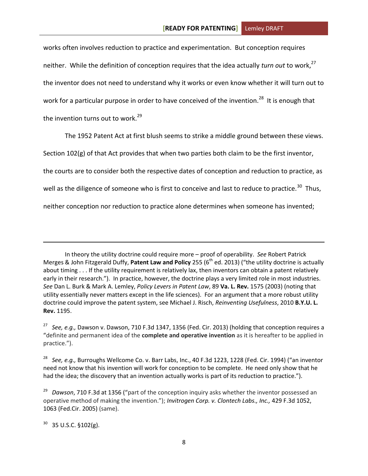works often involves reduction to practice and experimentation. But conception requires neither. While the definition of conception requires that the idea actually *turn out* to work.<sup>27</sup> the inventor does not need to understand why it works or even know whether it will turn out to work for a particular purpose in order to have conceived of the invention.<sup>28</sup> It is enough that the invention turns out to work.<sup>29</sup>

The 1952 Patent Act at first blush seems to strike a middle ground between these views.

Section 102(g) of that Act provides that when two parties both claim to be the first inventor,

the courts are to consider both the respective dates of conception and reduction to practice, as

well as the diligence of someone who is first to conceive and last to reduce to practice.<sup>30</sup> Thus,

neither conception nor reduction to practice alone determines when someone has invented;

 $\overline{a}$ 

In theory the utility doctrine could require more – proof of operability. *See* Robert Patrick Merges & John Fitzgerald Duffy, Patent Law and Policy 255 (6<sup>th</sup> ed. 2013) ("the utility doctrine is actually about timing . . . If the utility requirement is relatively lax, then inventors can obtain a patent relatively early in their research."). In practice, however, the doctrine plays a very limited role in most industries. *See* Dan L. Burk & Mark A. Lemley, *Policy Levers in Patent Law*, 89 **Va. L. Rev.** 1575 (2003) (noting that utility essentially never matters except in the life sciences). For an argument that a more robust utility doctrine could improve the patent system, see Michael J. Risch, *Reinventing Usefulness*, 2010 **B.Y.U. L. Rev.** 1195.

<sup>27</sup> *See, e.g.,* Dawson v. Dawson, 710 F.3d 1347, 1356 (Fed. Cir. 2013) (holding that conception requires a "definite and permanent idea of the **complete and operative invention** as it is hereafter to be applied in practice.").

<sup>&</sup>lt;sup>28</sup> See, e.g., Burroughs Wellcome Co. v. Barr Labs, Inc., 40 F.3d 1223, 1228 (Fed. Cir. 1994) ("an inventor need not know that his invention will work for conception to be complete. He need only show that he had the idea; the discovery that an invention actually works is part of its reduction to practice.").

<sup>29</sup> *Dawson*, 710 F.3d at 1356 ("part of the conception inquiry asks whether the inventor possessed an operative method of making the invention."); *Invitrogen Corp. v. Clontech Labs., Inc.,* 429 F.3d 1052, 1063 (Fed.Cir. 2005) (same).

<sup>30</sup> 35 U.S.C. §102(g).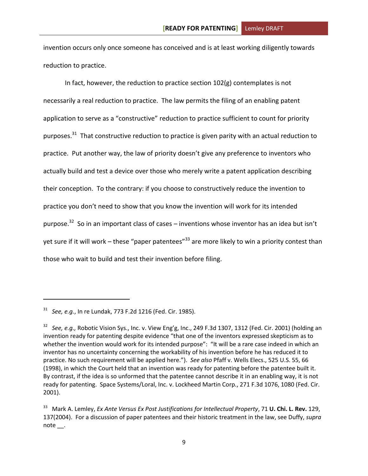invention occurs only once someone has conceived and is at least working diligently towards reduction to practice.

In fact, however, the reduction to practice section 102(g) contemplates is not necessarily a real reduction to practice. The law permits the filing of an enabling patent application to serve as a "constructive" reduction to practice sufficient to count for priority purposes.<sup>31</sup> That constructive reduction to practice is given parity with an actual reduction to practice. Put another way, the law of priority doesn't give any preference to inventors who actually build and test a device over those who merely write a patent application describing their conception. To the contrary: if you choose to constructively reduce the invention to practice you don't need to show that you know the invention will work for its intended purpose.<sup>32</sup> So in an important class of cases – inventions whose inventor has an idea but isn't yet sure if it will work – these "paper patentees"<sup>33</sup> are more likely to win a priority contest than those who wait to build and test their invention before filing.

<sup>31</sup> *See, e.g.*, In re Lundak, 773 F.2d 1216 (Fed. Cir. 1985).

<sup>&</sup>lt;sup>32</sup> See, e.g., Robotic Vision Sys., Inc. v. View Eng'g, Inc., 249 F.3d 1307, 1312 (Fed. Cir. 2001) (holding an invention ready for patenting despite evidence "that one of the inventors expressed skepticism as to whether the invention would work for its intended purpose": "It will be a rare case indeed in which an inventor has no uncertainty concerning the workability of his invention before he has reduced it to practice. No such requirement will be applied here."). *See also* Pfaff v. Wells Elecs., 525 U.S. 55, 66 (1998), in which the Court held that an invention was ready for patenting before the patentee built it. By contrast, if the idea is so unformed that the patentee cannot describe it in an enabling way, it is not ready for patenting. Space Systems/Loral, Inc. v. Lockheed Martin Corp., 271 F.3d 1076, 1080 (Fed. Cir. 2001).

<sup>33</sup> Mark A. Lemley, *Ex Ante Versus Ex Post Justifications for Intellectual Property*, 71 **U. Chi. L. Rev.** 129, 137(2004). For a discussion of paper patentees and their historic treatment in the law, see Duffy, *supra* note \_\_.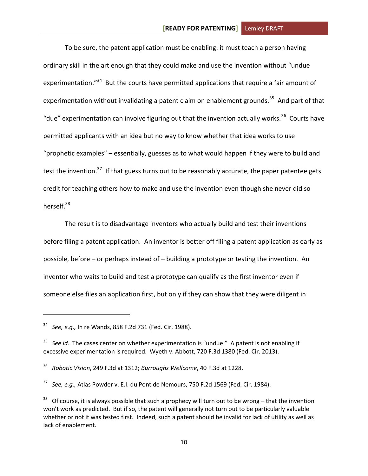To be sure, the patent application must be enabling: it must teach a person having ordinary skill in the art enough that they could make and use the invention without "undue experimentation."<sup>34</sup> But the courts have permitted applications that require a fair amount of experimentation without invalidating a patent claim on enablement grounds.<sup>35</sup> And part of that "due" experimentation can involve figuring out that the invention actually works.<sup>36</sup> Courts have permitted applicants with an idea but no way to know whether that idea works to use "prophetic examples" – essentially, guesses as to what would happen if they were to build and test the invention.<sup>37</sup> If that guess turns out to be reasonably accurate, the paper patentee gets credit for teaching others how to make and use the invention even though she never did so herself.<sup>38</sup>

The result is to disadvantage inventors who actually build and test their inventions before filing a patent application. An inventor is better off filing a patent application as early as possible, before – or perhaps instead of – building a prototype or testing the invention. An inventor who waits to build and test a prototype can qualify as the first inventor even if someone else files an application first, but only if they can show that they were diligent in

l

<sup>34</sup> *See, e.g.,* In re Wands, 858 F.2d 731 (Fed. Cir. 1988).

<sup>&</sup>lt;sup>35</sup> See id. The cases center on whether experimentation is "undue." A patent is not enabling if excessive experimentation is required. Wyeth v. Abbott, 720 F.3d 1380 (Fed. Cir. 2013).

<sup>36</sup> *Robotic Vision*, 249 F.3d at 1312; *Burroughs Wellcome*, 40 F.3d at 1228.

<sup>37</sup> *See, e.g.,* Atlas Powder v. E.I. du Pont de Nemours, 750 F.2d 1569 (Fed. Cir. 1984).

 $38$  Of course, it is always possible that such a prophecy will turn out to be wrong – that the invention won't work as predicted. But if so, the patent will generally not turn out to be particularly valuable whether or not it was tested first. Indeed, such a patent should be invalid for lack of utility as well as lack of enablement.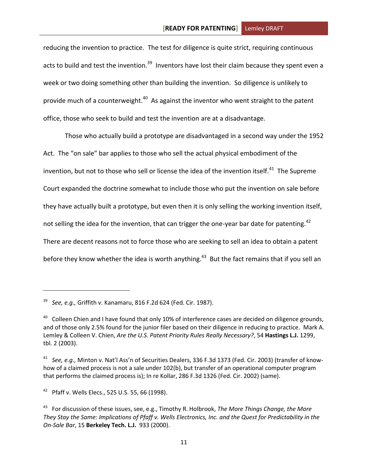reducing the invention to practice. The test for diligence is quite strict, requiring continuous acts to build and test the invention.<sup>39</sup> Inventors have lost their claim because they spent even a week or two doing something other than building the invention. So diligence is unlikely to provide much of a counterweight.<sup>40</sup> As against the inventor who went straight to the patent office, those who seek to build and test the invention are at a disadvantage.

Those who actually build a prototype are disadvantaged in a second way under the 1952 Act. The "on sale" bar applies to those who sell the actual physical embodiment of the invention, but not to those who sell or license the idea of the invention itself.<sup>41</sup> The Supreme Court expanded the doctrine somewhat to include those who put the invention on sale before they have actually built a prototype, but even then it is only selling the working invention itself, not selling the idea for the invention, that can trigger the one-year bar date for patenting.<sup>42</sup> There are decent reasons not to force those who are seeking to sell an idea to obtain a patent before they know whether the idea is worth anything.<sup>43</sup> But the fact remains that if you sell an

<sup>39</sup> *See, e.g.,* Griffith v. Kanamaru, 816 F.2d 624 (Fed. Cir. 1987).

<sup>&</sup>lt;sup>40</sup> Colleen Chien and I have found that only 10% of interference cases are decided on diligence grounds, and of those only 2.5% found for the junior filer based on their diligence in reducing to practice. Mark A. Lemley & Colleen V. Chien, *Are the U.S. Patent Priority Rules Really Necessary?*, 54 **Hastings L.J.** 1299, tbl. 2 (2003).

<sup>&</sup>lt;sup>41</sup> See, e.g., Minton v. Nat'l Ass'n of Securities Dealers, 336 F.3d 1373 (Fed. Cir. 2003) (transfer of knowhow of a claimed process is not a sale under 102(b), but transfer of an operational computer program that performs the claimed process is); In re Kollar, 286 F.3d 1326 (Fed. Cir. 2002) (same).

<sup>&</sup>lt;sup>42</sup> Pfaff v. Wells Elecs., 525 U.S. 55, 66 (1998).

<sup>43</sup> For discussion of these issues, see, e.g., Timothy R. Holbrook, *The More Things Change, the More They Stay the Same: Implications of Pfaff v. Wells Electronics, Inc. and the Quest for Predictability in the On-Sale Bar*, 15 **Berkeley Tech. L.J.** 933 (2000).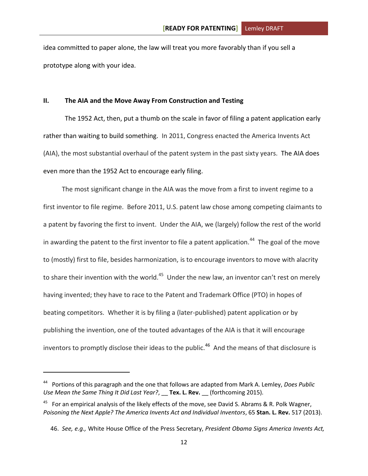idea committed to paper alone, the law will treat you more favorably than if you sell a prototype along with your idea.

### **II. The AIA and the Move Away From Construction and Testing**

The 1952 Act, then, put a thumb on the scale in favor of filing a patent application early rather than waiting to build something. In 2011, Congress enacted the America Invents Act (AIA), the most substantial overhaul of the patent system in the past sixty years. The AIA does even more than the 1952 Act to encourage early filing.

The most significant change in the AIA was the move from a first to invent regime to a first inventor to file regime. Before 2011, U.S. patent law chose among competing claimants to a patent by favoring the first to invent. Under the AIA, we (largely) follow the rest of the world in awarding the patent to the first inventor to file a patent application.<sup>44</sup> The goal of the move to (mostly) first to file, besides harmonization, is to encourage inventors to move with alacrity to share their invention with the world.<sup>45</sup> Under the new law, an inventor can't rest on merely having invented; they have to race to the Patent and Trademark Office (PTO) in hopes of beating competitors. Whether it is by filing a (later-published) patent application or by publishing the invention, one of the touted advantages of the AIA is that it will encourage inventors to promptly disclose their ideas to the public.<sup>46</sup> And the means of that disclosure is

<sup>44</sup> Portions of this paragraph and the one that follows are adapted from Mark A. Lemley, *Does Public Use Mean the Same Thing It Did Last Year?*, \_\_ **Tex. L. Rev.** \_\_ (forthcoming 2015).

 $^{45}$  For an empirical analysis of the likely effects of the move, see David S. Abrams & R. Polk Wagner, *Poisoning the Next Apple? The America Invents Act and Individual Inventors*, 65 **Stan. L. Rev.** 517 (2013).

<sup>46.</sup> *See, e.g.,* White House Office of the Press Secretary, *President Obama Signs America Invents Act,*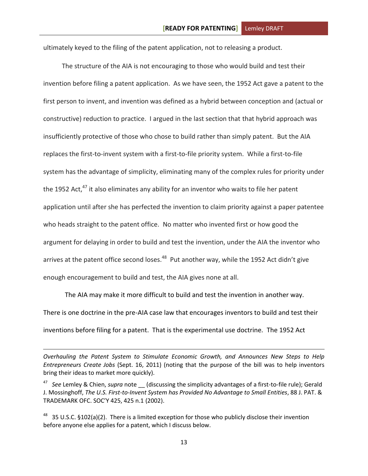ultimately keyed to the filing of the patent application, not to releasing a product.

The structure of the AIA is not encouraging to those who would build and test their invention before filing a patent application. As we have seen, the 1952 Act gave a patent to the first person to invent, and invention was defined as a hybrid between conception and (actual or constructive) reduction to practice. I argued in the last section that that hybrid approach was insufficiently protective of those who chose to build rather than simply patent. But the AIA replaces the first-to-invent system with a first-to-file priority system. While a first-to-file system has the advantage of simplicity, eliminating many of the complex rules for priority under the 1952 Act, $^{47}$  it also eliminates any ability for an inventor who waits to file her patent application until after she has perfected the invention to claim priority against a paper patentee who heads straight to the patent office. No matter who invented first or how good the argument for delaying in order to build and test the invention, under the AIA the inventor who arrives at the patent office second loses.<sup>48</sup> Put another way, while the 1952 Act didn't give enough encouragement to build and test, the AIA gives none at all.

The AIA may make it more difficult to build and test the invention in another way. There is one doctrine in the pre-AIA case law that encourages inventors to build and test their inventions before filing for a patent. That is the experimental use doctrine. The 1952 Act

l

13

*Overhauling the Patent System to Stimulate Economic Growth, and Announces New Steps to Help Entrepreneurs Create Jobs* (Sept. 16, 2011) (noting that the purpose of the bill was to help inventors bring their ideas to market more quickly).

<sup>47</sup> *See* Lemley & Chien, *supra* note \_\_ (discussing the simplicity advantages of a first-to-file rule); Gerald J. Mossinghoff, *The U.S. First-to-Invent System has Provided No Advantage to Small Entities*, 88 J. PAT. & TRADEMARK OFC. SOC'Y 425, 425 n.1 (2002).

<sup>&</sup>lt;sup>48</sup> 35 U.S.C. §102(a)(2). There is a limited exception for those who publicly disclose their invention before anyone else applies for a patent, which I discuss below.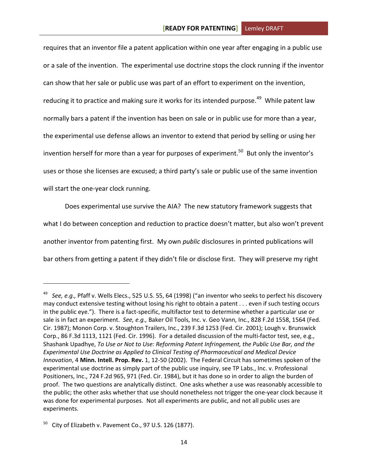requires that an inventor file a patent application within one year after engaging in a public use or a sale of the invention. The experimental use doctrine stops the clock running if the inventor can show that her sale or public use was part of an effort to experiment on the invention, reducing it to practice and making sure it works for its intended purpose.<sup>49</sup> While patent law normally bars a patent if the invention has been on sale or in public use for more than a year, the experimental use defense allows an inventor to extend that period by selling or using her invention herself for more than a year for purposes of experiment.<sup>50</sup> But only the inventor's uses or those she licenses are excused; a third party's sale or public use of the same invention will start the one-year clock running.

Does experimental use survive the AIA? The new statutory framework suggests that what I do between conception and reduction to practice doesn't matter, but also won't prevent another inventor from patenting first. My own *public* disclosures in printed publications will bar others from getting a patent if they didn't file or disclose first. They will preserve my right

<sup>49</sup> *See, e.g.,* Pfaff v. Wells Elecs., 525 U.S. 55, 64 (1998) ("an inventor who seeks to perfect his discovery may conduct extensive testing without losing his right to obtain a patent . . . even if such testing occurs in the public eye."). There is a fact-specific, multifactor test to determine whether a particular use or sale is in fact an experiment. *See, e.g.,* Baker Oil Tools, Inc. v. Geo Vann, Inc., 828 F.2d 1558, 1564 (Fed. Cir. 1987); Monon Corp. v. Stoughton Trailers, Inc., 239 F.3d 1253 (Fed. Cir. 2001); Lough v. Brunswick Corp., 86 F.3d 1113, 1121 (Fed. Cir. 1996). For a detailed discussion of the multi-factor test, see, e.g., Shashank Upadhye, *To Use or Not to Use: Reforming Patent Infringement, the Public Use Bar, and the Experimental Use Doctrine as Applied to Clinical Testing of Pharmaceutical and Medical Device Innovation*, 4 **Minn. Intell. Prop. Rev.** 1, 12-50 (2002). The Federal Circuit has sometimes spoken of the experimental use doctrine as simply part of the public use inquiry, see TP Labs., Inc. v. Professional Positioners, Inc., 724 F.2d 965, 971 (Fed. Cir. 1984), but it has done so in order to align the burden of proof. The two questions are analytically distinct. One asks whether a use was reasonably accessible to the public; the other asks whether that use should nonetheless not trigger the one-year clock because it was done for experimental purposes. Not all experiments are public, and not all public uses are experiments.

<sup>50</sup> City of Elizabeth v. Pavement Co., 97 U.S. 126 (1877).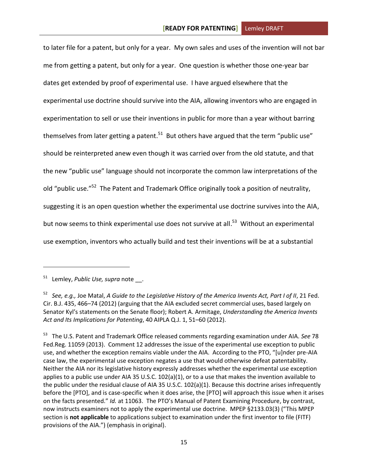to later file for a patent, but only for a year. My own sales and uses of the invention will not bar me from getting a patent, but only for a year. One question is whether those one-year bar dates get extended by proof of experimental use. I have argued elsewhere that the experimental use doctrine should survive into the AIA, allowing inventors who are engaged in experimentation to sell or use their inventions in public for more than a year without barring themselves from later getting a patent.<sup>51</sup> But others have argued that the term "public use" should be reinterpreted anew even though it was carried over from the old statute, and that the new "public use" language should not incorporate the common law interpretations of the old "public use."<sup>52</sup> The Patent and Trademark Office originally took a position of neutrality, suggesting it is an open question whether the experimental use doctrine survives into the AIA, but now seems to think experimental use does not survive at all.<sup>53</sup> Without an experimental use exemption, inventors who actually build and test their inventions will be at a substantial

<sup>&</sup>lt;sup>51</sup> Lemley, *Public Use, supra* note \_\_\_.

<sup>52</sup> *See, e.g.,* Joe Matal, *A Guide to the Legislative History of the America Invents Act, Part I of II*, 21 Fed. Cir. B.J. 435, 466–74 (2012) (arguing that the AIA excluded secret commercial uses, based largely on Senator Kyl's statements on the Senate floor); Robert A. Armitage, *Understanding the America Invents Act and Its Implications for Patenting*, 40 AIPLA Q.J. 1, 51–60 (2012).

<sup>53</sup> The U.S. Patent and Trademark Office released comments regarding examination under AIA. *See* 78 Fed.Reg. 11059 (2013). Comment 12 addresses the issue of the experimental use exception to public use, and whether the exception remains viable under the AIA. According to the PTO, "[u]nder pre-AIA case law, the experimental use exception negates a use that would otherwise defeat patentability. Neither the AIA nor its legislative history expressly addresses whether the experimental use exception applies to a public use under AIA 35 U.S.C. 102(a)(1), or to a use that makes the invention available to the public under the residual clause of AIA 35 U.S.C. 102(a)(1). Because this doctrine arises infrequently before the [PTO], and is case-specific when it does arise, the [PTO] will approach this issue when it arises on the facts presented." *Id.* at 11063. The PTO's Manual of Patent Examining Procedure, by contrast, now instructs examiners not to apply the experimental use doctrine. MPEP §2133.03(3) ("This MPEP section is **not applicable** to applications subject to examination under the first inventor to file (FITF) provisions of the AIA.") (emphasis in original).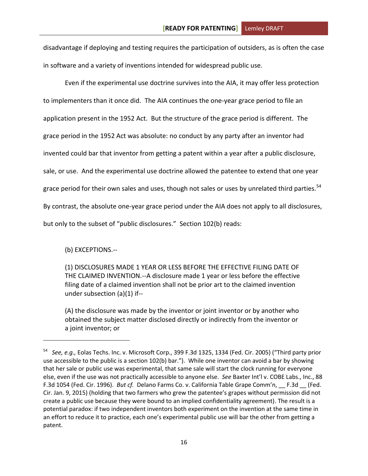disadvantage if deploying and testing requires the participation of outsiders, as is often the case in software and a variety of inventions intended for widespread public use.

Even if the experimental use doctrine survives into the AIA, it may offer less protection to implementers than it once did. The AIA continues the one-year grace period to file an application present in the 1952 Act. But the structure of the grace period is different. The grace period in the 1952 Act was absolute: no conduct by any party after an inventor had invented could bar that inventor from getting a patent within a year after a public disclosure, sale, or use. And the experimental use doctrine allowed the patentee to extend that one year grace period for their own sales and uses, though not sales or uses by unrelated third parties.<sup>54</sup> By contrast, the absolute one-year grace period under the AIA does not apply to all disclosures, but only to the subset of "public disclosures." Section 102(b) reads:

(b) EXCEPTIONS.--

 $\overline{\phantom{a}}$ 

(1) DISCLOSURES MADE 1 YEAR OR LESS BEFORE THE EFFECTIVE FILING DATE OF THE CLAIMED INVENTION.--A disclosure made 1 year or less before the effective filing date of a claimed invention shall not be prior art to the claimed invention under subsection (a)(1) if--

(A) the disclosure was made by the inventor or joint inventor or by another who obtained the subject matter disclosed directly or indirectly from the inventor or a joint inventor; or

<sup>&</sup>lt;sup>54</sup> See, e.g., Eolas Techs. Inc. v. Microsoft Corp., 399 F.3d 1325, 1334 (Fed. Cir. 2005) ("Third party prior use accessible to the public is a section 102(b) bar."). While one inventor can avoid a bar by showing that her sale or public use was experimental, that same sale will start the clock running for everyone else, even if the use was not practically accessible to anyone else. *See* Baxter Int'l v. COBE Labs., Inc., 88 F.3d 1054 (Fed. Cir. 1996). *But cf.* Delano Farms Co. v. California Table Grape Comm'n, F.3d (Fed. Cir. Jan. 9, 2015) (holding that two farmers who grew the patentee's grapes without permission did not create a public use because they were bound to an implied confidentiality agreement). The result is a potential paradox: if two independent inventors both experiment on the invention at the same time in an effort to reduce it to practice, each one's experimental public use will bar the other from getting a patent.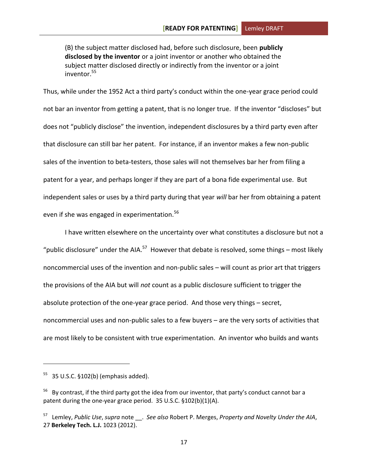(B) the subject matter disclosed had, before such disclosure, been **publicly disclosed by the inventor** or a joint inventor or another who obtained the subject matter disclosed directly or indirectly from the inventor or a joint inventor.<sup>55</sup>

Thus, while under the 1952 Act a third party's conduct within the one-year grace period could not bar an inventor from getting a patent, that is no longer true. If the inventor "discloses" but does not "publicly disclose" the invention, independent disclosures by a third party even after that disclosure can still bar her patent. For instance, if an inventor makes a few non-public sales of the invention to beta-testers, those sales will not themselves bar her from filing a patent for a year, and perhaps longer if they are part of a bona fide experimental use. But independent sales or uses by a third party during that year *will* bar her from obtaining a patent even if she was engaged in experimentation. $^{56}$ 

I have written elsewhere on the uncertainty over what constitutes a disclosure but not a "public disclosure" under the AIA.<sup>57</sup> However that debate is resolved, some things – most likely noncommercial uses of the invention and non-public sales – will count as prior art that triggers the provisions of the AIA but will *not* count as a public disclosure sufficient to trigger the absolute protection of the one-year grace period. And those very things – secret, noncommercial uses and non-public sales to a few buyers – are the very sorts of activities that are most likely to be consistent with true experimentation. An inventor who builds and wants

l

 $55$  35 U.S.C. §102(b) (emphasis added).

 $56$  By contrast, if the third party got the idea from our inventor, that party's conduct cannot bar a patent during the one-year grace period. 35 U.S.C. §102(b)(1)(A).

<sup>57</sup> Lemley, *Public Use*, *supra* note \_\_. *See also* Robert P. Merges, *Property and Novelty Under the AIA*, 27 **Berkeley Tech. L.J.** 1023 (2012).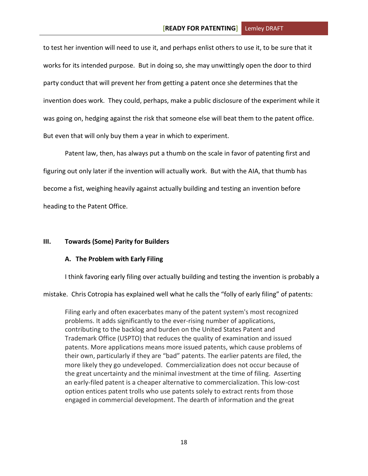to test her invention will need to use it, and perhaps enlist others to use it, to be sure that it works for its intended purpose. But in doing so, she may unwittingly open the door to third party conduct that will prevent her from getting a patent once she determines that the invention does work. They could, perhaps, make a public disclosure of the experiment while it was going on, hedging against the risk that someone else will beat them to the patent office. But even that will only buy them a year in which to experiment.

Patent law, then, has always put a thumb on the scale in favor of patenting first and figuring out only later if the invention will actually work. But with the AIA, that thumb has become a fist, weighing heavily against actually building and testing an invention before heading to the Patent Office.

### **III. Towards (Some) Parity for Builders**

## **A. The Problem with Early Filing**

I think favoring early filing over actually building and testing the invention is probably a

mistake. Chris Cotropia has explained well what he calls the "folly of early filing" of patents:

Filing early and often exacerbates many of the patent system's most recognized problems. It adds significantly to the ever-rising number of applications, contributing to the backlog and burden on the United States Patent and Trademark Office (USPTO) that reduces the quality of examination and issued patents. More applications means more issued patents, which cause problems of their own, particularly if they are "bad" patents. The earlier patents are filed, the more likely they go undeveloped. Commercialization does not occur because of the great uncertainty and the minimal investment at the time of filing. Asserting an early-filed patent is a cheaper alternative to commercialization. This low-cost option entices patent trolls who use patents solely to extract rents from those engaged in commercial development. The dearth of information and the great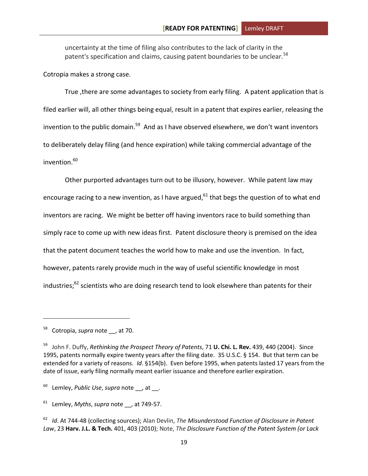uncertainty at the time of filing also contributes to the lack of clarity in the patent's specification and claims, causing patent boundaries to be unclear.<sup>58</sup>

Cotropia makes a strong case.

True ,there are some advantages to society from early filing. A patent application that is filed earlier will, all other things being equal, result in a patent that expires earlier, releasing the invention to the public domain.<sup>59</sup> And as I have observed elsewhere, we don't want inventors to deliberately delay filing (and hence expiration) while taking commercial advantage of the invention.<sup>60</sup>

Other purported advantages turn out to be illusory, however. While patent law may encourage racing to a new invention, as I have argued, $61$  that begs the question of to what end inventors are racing. We might be better off having inventors race to build something than simply race to come up with new ideas first. Patent disclosure theory is premised on the idea that the patent document teaches the world how to make and use the invention. In fact, however, patents rarely provide much in the way of useful scientific knowledge in most industries;<sup>62</sup> scientists who are doing research tend to look elsewhere than patents for their

l

<sup>58</sup> Cotropia, *supra* note \_\_, at 70.

<sup>59</sup> John F. Duffy, *Rethinking the Prospect Theory of Patents*, 71 **U. Chi. L. Rev.** 439, 440 (2004). Since 1995, patents normally expire twenty years after the filing date. 35 U.S.C. § 154. But that term can be extended for a variety of reasons. *Id*. §154(b). Even before 1995, when patents lasted 17 years from the date of issue, early filing normally meant earlier issuance and therefore earlier expiration.

<sup>60</sup> Lemley, *Public Use*, *supra* note , at .

<sup>61</sup> Lemley, *Myths*, *supra* note \_\_, at 749-57.

<sup>62</sup> *Id*. At 744-48 (collecting sources); Alan Devlin, *The Misunderstood Function of Disclosure in Patent Law*, 23 **Harv. J.L. & Tech.** 401, 403 (2010); Note, *The Disclosure Function of the Patent System (or Lack*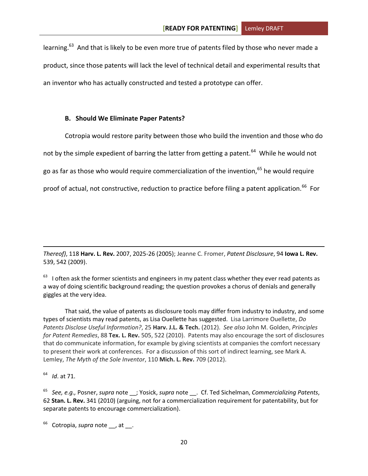learning.<sup>63</sup> And that is likely to be even more true of patents filed by those who never made a product, since those patents will lack the level of technical detail and experimental results that an inventor who has actually constructed and tested a prototype can offer.

### **B. Should We Eliminate Paper Patents?**

Cotropia would restore parity between those who build the invention and those who do not by the simple expedient of barring the latter from getting a patent.<sup>64</sup> While he would not go as far as those who would require commercialization of the invention,  $65$  he would require proof of actual, not constructive, reduction to practice before filing a patent application.<sup>66</sup> For

 $^{63}$  I often ask the former scientists and engineers in my patent class whether they ever read patents as a way of doing scientific background reading; the question provokes a chorus of denials and generally giggles at the very idea.

That said, the value of patents as disclosure tools may differ from industry to industry, and some types of scientists may read patents, as Lisa Ouellette has suggested. Lisa Larrimore Ouellette, *Do Patents Disclose Useful Information?*, 25 **Harv. J.L. & Tech.** (2012). *See also* John M. Golden, *Principles for Patent Remedies*, 88 **Tex. L. Rev.** 505, 522 (2010). Patents may also encourage the sort of disclosures that do communicate information, for example by giving scientists at companies the comfort necessary to present their work at conferences. For a discussion of this sort of indirect learning, see Mark A. Lemley, *The Myth of the Sole Inventor*, 110 **Mich. L. Rev.** 709 (2012).

64 *Id*. at 71.

 $\overline{\phantom{a}}$ 

65 *See, e.g.,* Posner, *supra* note \_\_; Yosick, *supra* note \_\_. Cf. Ted Sichelman, *Commercializing Patents*, 62 **Stan. L. Rev.** 341 (2010) (arguing, not for a commercialization requirement for patentability, but for separate patents to encourage commercialization).

<sup>66</sup> Cotropia, *supra* note \_\_, at \_\_.

*Thereof)*, 118 **Harv. L. Rev.** 2007, 2025-26 (2005); Jeanne C. Fromer, *Patent Disclosure*, 94 **Iowa L. Rev.** 539, 542 (2009).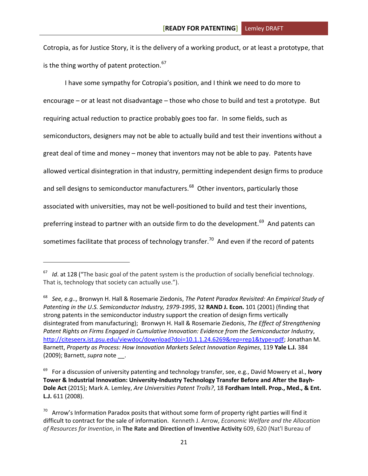Cotropia, as for Justice Story, it is the delivery of a working product, or at least a prototype, that is the thing worthy of patent protection.<sup>67</sup>

I have some sympathy for Cotropia's position, and I think we need to do more to encourage – or at least not disadvantage – those who chose to build and test a prototype. But requiring actual reduction to practice probably goes too far. In some fields, such as semiconductors, designers may not be able to actually build and test their inventions without a great deal of time and money – money that inventors may not be able to pay. Patents have allowed vertical disintegration in that industry, permitting independent design firms to produce and sell designs to semiconductor manufacturers.<sup>68</sup> Other inventors, particularly those associated with universities, may not be well-positioned to build and test their inventions, preferring instead to partner with an outside firm to do the development.<sup>69</sup> And patents can sometimes facilitate that process of technology transfer.<sup>70</sup> And even if the record of patents

 $\overline{a}$ 

<sup>&</sup>lt;sup>67</sup> *Id*. at 128 ("The basic goal of the patent system is the production of socially beneficial technology. That is, technology that society can actually use.").

<sup>68</sup> *See, e.g..,* Bronwyn H. Hall & Rosemarie Ziedonis, *The Patent Paradox Revisited: An Empirical Study of Patenting in the U.S. Semiconductor Industry, 1979-1995*, 32 **RAND J. Econ.** 101 (2001) (finding that strong patents in the semiconductor industry support the creation of design firms vertically disintegrated from manufacturing); Bronwyn H. Hall & Rosemarie Ziedonis, *The Effect of Strengthening Patent Rights on Firms Engaged in Cumulative Innovation: Evidence from the Semiconductor Industry*, [http://citeseerx.ist.psu.edu/viewdoc/download?doi=10.1.1.24.6269&rep=rep1&type=pdf;](http://citeseerx.ist.psu.edu/viewdoc/download?doi=10.1.1.24.6269&rep=rep1&type=pdf) Jonathan M. Barnett, *Property as Process: How Innovation Markets Select Innovation Regimes*, 119 **Yale L.J.** 384 (2009); Barnett, *supra* note \_\_.

<sup>69</sup> For a discussion of university patenting and technology transfer, see, e.g., David Mowery et al., **Ivory Tower & Industrial Innovation: University-Industry Technology Transfer Before and After the Bayh-Dole Act** (2015); Mark A. Lemley, *Are Universities Patent Trolls?*, 18 **Fordham Intell. Prop., Med., & Ent. L.J.** 611 (2008).

 $70$  Arrow's Information Paradox posits that without some form of property right parties will find it difficult to contract for the sale of information. Kenneth J. Arrow, *Economic Welfare and the Allocation of Resources for Invention*, in **The Rate and Direction of Inventive Activity** 609, 620 (Nat'l Bureau of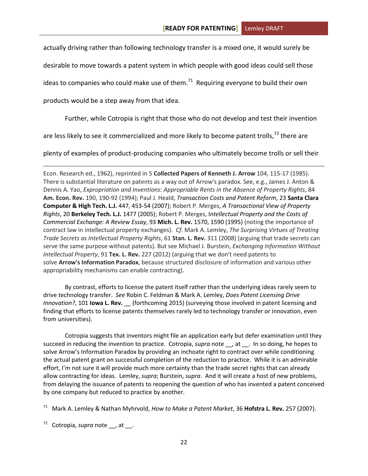actually driving rather than following technology transfer is a mixed one, it would surely be

desirable to move towards a patent system in which people with good ideas could sell those

ideas to companies who could make use of them.<sup>71</sup> Requiring everyone to build their own

products would be a step away from that idea.

 $\overline{a}$ 

Further, while Cotropia is right that those who do not develop and test their invention

are less likely to see it commercialized and more likely to become patent trolls, $^{72}$  there are

plenty of examples of product-producing companies who ultimately become trolls or sell their

Econ. Research ed., 1962), reprinted in 5 **Collected Papers of Kenneth J. Arrow** 104, 115-17 (1985). There is substantial literature on patents as a way out of Arrow's paradox. See, e.g., James J. Anton & Dennis A. Yao, *Expropriation and Inventions: Appropriable Rents in the Absence of Property Rights*, 84 **Am. Econ. Rev.** 190, 190-92 (1994); Paul J. Heald, *Transaction Costs and Patent Reform*, 23 **Santa Clara Computer & High Tech. L.J.** 447, 453-54 (2007); Robert P. Merges, *A Transactional View of Property Rights*, 20 **Berkeley Tech. L.J.** 1477 (2005); Robert P. Merges, I*ntellectual Property and the Costs of Commercial Exchange: A Review Essay*, 93 **Mich. L. Rev.** 1570, 1590 (1995) (noting the importance of contract law in intellectual property exchanges). *Cf.* Mark A. Lemley, *The Surprising Virtues of Treating Trade Secrets as Intellectual Property Rights*, 61 **Stan. L. Rev.** 311 (2008) (arguing that trade secrets can serve the same purpose without patents). But see Michael J. Burstein, *Exchanging Information Without Intellectual Property*, 91 **Tex. L. Rev.** 227 (2012) (arguing that we don't need patents to solve **Arrow's Information Paradox**, because structured disclosure of information and various other appropriability mechanisms can enable contracting).

By contrast, efforts to license the patent itself rather than the underlying ideas rarely seem to drive technology transfer. *See* Robin C. Feldman & Mark A. Lemley, *Does Patent Licensing Drive Innovation?*, 101 **Iowa L. Rev.** \_\_ (forthcoming 2015) (surveying those involved in patent licensing and finding that efforts to license patents themselves rarely led to technology transfer or innovation, even from universities).

Cotropia suggests that inventors might file an application early but defer examination until they succeed in reducing the invention to practice. Cotropia, *supra* note , at . In so doing, he hopes to solve Arrow's Information Paradox by providing an inchoate right to contract over while conditioning the actual patent grant on successful completion of the reduction to practice. While it is an admirable effort, I'm not sure it will provide much more certainty than the trade secret rights that can already allow contracting for ideas. Lemley, *supra*; Burstein, *supra*. And it will create a host of new problems, from delaying the issuance of patents to reopening the question of who has invented a patent conceived by one company but reduced to practice by another.

71 Mark A. Lemley & Nathan Myhrvold, *How to Make a Patent Market*, 36 **Hofstra L. Rev.** 257 (2007).

<sup>&</sup>lt;sup>72</sup> Cotropia, *supra* note \_\_, at \_\_.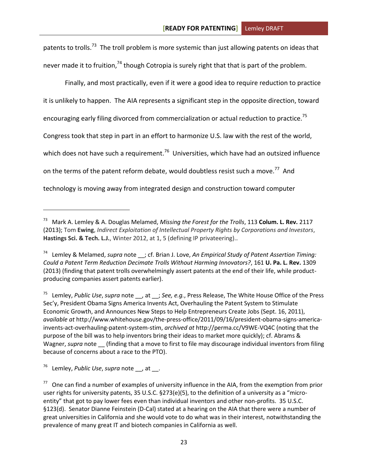patents to trolls.<sup>73</sup> The troll problem is more systemic than just allowing patents on ideas that never made it to fruition,  $74$  though Cotropia is surely right that that is part of the problem.

Finally, and most practically, even if it were a good idea to require reduction to practice it is unlikely to happen. The AIA represents a significant step in the opposite direction, toward encouraging early filing divorced from commercialization or actual reduction to practice.<sup>75</sup> Congress took that step in part in an effort to harmonize U.S. law with the rest of the world, which does not have such a requirement.<sup>76</sup> Universities, which have had an outsized influence on the terms of the patent reform debate, would doubtless resist such a move.<sup>77</sup> And technology is moving away from integrated design and construction toward computer

75 Lemley, *Public Use*, *supra* note \_\_, at \_\_; *See, e.g.*, Press Release, The White House Office of the Press Sec'y, President Obama Signs America Invents Act, Overhauling the Patent System to Stimulate Economic Growth, and Announces New Steps to Help Entrepreneurs Create Jobs (Sept. 16, 2011), *available at* http://www.whitehouse.gov/the-press-office/2011/09/16/president-obama-signs-americainvents-act-overhauling-patent-system-stim, *archived at* http://perma.cc/V9WE-VQ4C (noting that the purpose of the bill was to help inventors bring their ideas to market more quickly); cf. Abrams & Wagner, *supra* note (finding that a move to first to file may discourage individual inventors from filing because of concerns about a race to the PTO).

76 Lemley, *Public Use*, *supra* note \_\_, at \_\_.

<sup>73</sup> Mark A. Lemley & A. Douglas Melamed, *Missing the Forest for the Trolls*, 113 **Colum. L. Rev.** 2117 (2013); Tom **Ewing**, *Indirect Exploitation of Intellectual Property Rights by Corporations and Investors*, Hastings Sci. & Tech. L.J., Winter 2012, at 1, 5 (defining IP privateering)..

<sup>74</sup> Lemley & Melamed, *supra* note \_\_; cf. Brian J. Love, *An Empirical Study of Patent Assertion Timing: Could a Patent Term Reduction Decimate Trolls Without Harming Innovators?*, 161 **U. Pa. L. Rev.** 1309 (2013) (finding that patent trolls overwhelmingly assert patents at the end of their life, while productproducing companies assert patents earlier).

 $77$  One can find a number of examples of university influence in the AIA, from the exemption from prior user rights for university patents, 35 U.S.C. §273(e)(5), to the definition of a university as a "microentity" that got to pay lower fees even than individual inventors and other non-profits. 35 U.S.C. §123(d). Senator Dianne Feinstein (D-Cal) stated at a hearing on the AIA that there were a number of great universities in California and she would vote to do what was in their interest, notwithstanding the prevalence of many great IT and biotech companies in California as well.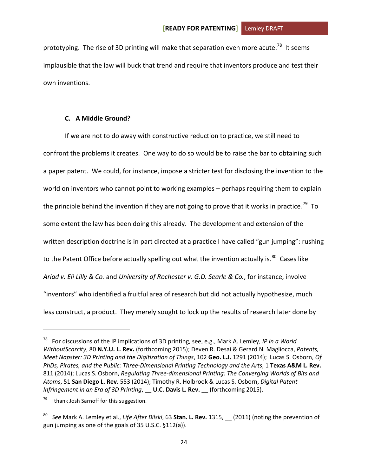prototyping. The rise of 3D printing will make that separation even more acute.<sup>78</sup> It seems implausible that the law will buck that trend and require that inventors produce and test their own inventions.

### **C. A Middle Ground?**

If we are not to do away with constructive reduction to practice, we still need to confront the problems it creates. One way to do so would be to raise the bar to obtaining such a paper patent. We could, for instance, impose a stricter test for disclosing the invention to the world on inventors who cannot point to working examples – perhaps requiring them to explain the principle behind the invention if they are not going to prove that it works in practice.<sup>79</sup> To some extent the law has been doing this already. The development and extension of the written description doctrine is in part directed at a practice I have called "gun jumping": rushing to the Patent Office before actually spelling out what the invention actually is.<sup>80</sup> Cases like *Ariad v. Eli Lilly & Co.* and *University of Rochester v. G.D. Searle & Co.*, for instance, involve "inventors" who identified a fruitful area of research but did not actually hypothesize, much less construct, a product. They merely sought to lock up the results of research later done by

<sup>78</sup> For discussions of the IP implications of 3D printing, see, e.g., Mark A. Lemley, *IP in a World WithoutScarcity*, 80 **N.Y.U. L. Rev.** (forthcoming 2015); Deven R. Desai & Gerard N. Magliocca, *Patents, Meet Napster: 3D Printing and the Digitization of Things*, 102 **Geo. L.J.** 1291 (2014); Lucas S. Osborn, *Of PhDs, Pirates, and the Public: Three-Dimensional Printing Technology and the Arts*, 1 **Texas A&M L. Rev.** 811 (2014); Lucas S. Osborn, *Regulating Three-dimensional Printing: The Converging Worlds of Bits and Atoms*, 51 **San Diego L. Rev.** 553 (2014); Timothy R. Holbrook & Lucas S. Osborn, *Digital Patent Infringement in an Era of 3D Printing*, \_\_ **U.C. Davis L. Rev.** \_\_ (forthcoming 2015).

<sup>&</sup>lt;sup>79</sup> I thank Josh Sarnoff for this suggestion.

<sup>80</sup> *See* Mark A. Lemley et al., *Life After Bilski*, 63 **Stan. L. Rev.** 1315, \_\_ (2011) (noting the prevention of gun jumping as one of the goals of 35 U.S.C. §112(a)).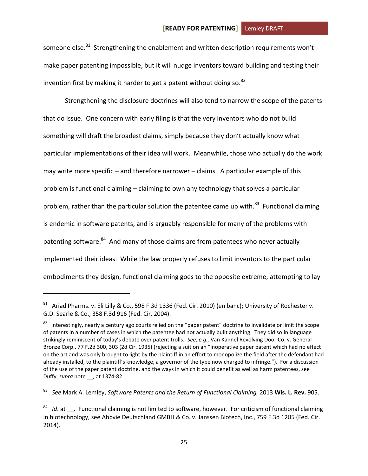someone else.<sup>81</sup> Strengthening the enablement and written description requirements won't make paper patenting impossible, but it will nudge inventors toward building and testing their invention first by making it harder to get a patent without doing so. $^{82}$ 

Strengthening the disclosure doctrines will also tend to narrow the scope of the patents that do issue. One concern with early filing is that the very inventors who do not build something will draft the broadest claims, simply because they don't actually know what particular implementations of their idea will work. Meanwhile, those who actually do the work may write more specific – and therefore narrower – claims. A particular example of this problem is functional claiming – claiming to own any technology that solves a particular problem, rather than the particular solution the patentee came up with.<sup>83</sup> Functional claiming is endemic in software patents, and is arguably responsible for many of the problems with patenting software.<sup>84</sup> And many of those claims are from patentees who never actually implemented their ideas. While the law properly refuses to limit inventors to the particular embodiments they design, functional claiming goes to the opposite extreme, attempting to lay

 $\overline{a}$ 

 $81$  Ariad Pharms. v. Eli Lilly & Co., 598 F.3d 1336 (Fed. Cir. 2010) (en banc); University of Rochester v. G.D. Searle & Co., 358 F.3d 916 (Fed. Cir. 2004).

 $82$  Interestingly, nearly a century ago courts relied on the "paper patent" doctrine to invalidate or limit the scope of patents in a number of cases in which the patentee had not actually built anything. They did so in language strikingly reminiscent of today's debate over patent trolls. *See, e.g.,* Van Kannel Revolving Door Co. v. General Bronze Corp., 77 F.2d 300, 303 (2d Cir. 1935) (rejecting a suit on an "inoperative paper patent which had no effect on the art and was only brought to light by the plaintiff in an effort to monopolize the field after the defendant had already installed, to the plaintiff's knowledge, a governor of the type now charged to infringe."). For a discussion of the use of the paper patent doctrine, and the ways in which it could benefit as well as harm patentees, see Duffy, *supra* note \_\_, at 1374-82.

<sup>83</sup> *See* Mark A. Lemley, *Software Patents and the Return of Functional Claiming,* 2013 **Wis. L. Rev.** 905.

<sup>&</sup>lt;sup>84</sup> Id. at <sub>\_\_\_</sub>. Functional claiming is not limited to software, however. For criticism of functional claiming in biotechnology, see Abbvie Deutschland GMBH & Co. v. Janssen Biotech, Inc., 759 F.3d 1285 (Fed. Cir. 2014).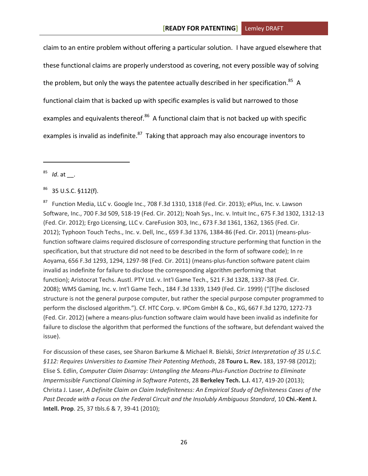claim to an entire problem without offering a particular solution. I have argued elsewhere that these functional claims are properly understood as covering, not every possible way of solving the problem, but only the ways the patentee actually described in her specification.<sup>85</sup> A functional claim that is backed up with specific examples is valid but narrowed to those examples and equivalents thereof.<sup>86</sup> A functional claim that is not backed up with specific examples is invalid as indefinite.<sup>87</sup> Taking that approach may also encourage inventors to

85 *Id*. at \_\_.

 $\overline{a}$ 

86 35 U.S.C. §112(f).

<sup>87</sup> Function Media, LLC v. Google Inc., 708 F.3d 1310, 1318 (Fed. Cir. 2013); ePlus, Inc. v. Lawson Software, Inc., 700 F.3d 509, 518-19 (Fed. Cir. 2012); Noah Sys., Inc. v. Intuit Inc., 675 F.3d 1302, 1312-13 (Fed. Cir. 2012); Ergo Licensing, LLC v. CareFusion 303, Inc., 673 F.3d 1361, 1362, 1365 (Fed. Cir. 2012); Typhoon Touch Techs., Inc. v. Dell, Inc., 659 F.3d 1376, 1384-86 (Fed. Cir. 2011) (means-plusfunction software claims required disclosure of corresponding structure performing that function in the specification, but that structure did not need to be described in the form of software code); In re Aoyama, 656 F.3d 1293, 1294, 1297-98 (Fed. Cir. 2011) (means-plus-function software patent claim invalid as indefinite for failure to disclose the corresponding algorithm performing that function); Aristocrat Techs. Austl. PTY Ltd. v. Int'l Game Tech., 521 F.3d 1328, 1337-38 (Fed. Cir. 2008); WMS Gaming, Inc. v. Int'l Game Tech., 184 F.3d 1339, 1349 (Fed. Cir. 1999) ("[T]he disclosed structure is not the general purpose computer, but rather the special purpose computer programmed to perform the disclosed algorithm."). Cf. HTC Corp. v. IPCom GmbH & Co., KG, 667 F.3d 1270, 1272-73 (Fed. Cir. 2012) (where a means-plus-function software claim would have been invalid as indefinite for failure to disclose the algorithm that performed the functions of the software, but defendant waived the issue).

For discussion of these cases, see Sharon Barkume & Michael R. Bielski, *Strict Interpretation of 35 U.S.C. §112: Requires Universities to Examine Their Patenting Methods*, 28 **Touro L. Rev.** 183, 197-98 (2012); Elise S. Edlin, *Computer Claim Disarray: Untangling the Means-Plus-Function Doctrine to Eliminate Impermissible Functional Claiming in Software Patents*, 28 **Berkeley Tech. L.J.** 417, 419-20 (2013); Christa J. Laser, *A Definite Claim on Claim Indefiniteness: An Empirical Study of Definiteness Cases of the Past Decade with a Focus on the Federal Circuit and the Insolubly Ambiguous Standard*, 10 **Chi.-Kent J. Intell. Prop**. 25, 37 tbls.6 & 7, 39-41 (2010);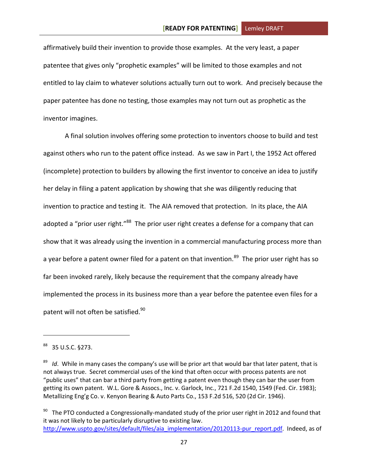affirmatively build their invention to provide those examples. At the very least, a paper patentee that gives only "prophetic examples" will be limited to those examples and not entitled to lay claim to whatever solutions actually turn out to work. And precisely because the paper patentee has done no testing, those examples may not turn out as prophetic as the inventor imagines.

A final solution involves offering some protection to inventors choose to build and test against others who run to the patent office instead. As we saw in Part I, the 1952 Act offered (incomplete) protection to builders by allowing the first inventor to conceive an idea to justify her delay in filing a patent application by showing that she was diligently reducing that invention to practice and testing it. The AIA removed that protection. In its place, the AIA adopted a "prior user right."<sup>88</sup> The prior user right creates a defense for a company that can show that it was already using the invention in a commercial manufacturing process more than a year before a patent owner filed for a patent on that invention.<sup>89</sup> The prior user right has so far been invoked rarely, likely because the requirement that the company already have implemented the process in its business more than a year before the patentee even files for a patent will not often be satisfied. $^{90}$ 

 $88$  35 U.S.C. §273.

<sup>&</sup>lt;sup>89</sup> Id. While in many cases the company's use will be prior art that would bar that later patent, that is not always true. Secret commercial uses of the kind that often occur with process patents are not "public uses" that can bar a third party from getting a patent even though they can bar the user from getting its own patent. W.L. Gore & Assocs., Inc. v. Garlock, Inc., 721 F.2d 1540, 1549 (Fed. Cir. 1983); Metallizing Eng'g Co. v. Kenyon Bearing & Auto Parts Co., 153 F.2d 516, 520 (2d Cir. 1946).

 $90$  The PTO conducted a Congressionally-mandated study of the prior user right in 2012 and found that it was not likely to be particularly disruptive to existing law. [http://www.uspto.gov/sites/default/files/aia\\_implementation/20120113-pur\\_report.pdf.](http://www.uspto.gov/sites/default/files/aia_implementation/20120113-pur_report.pdf) Indeed, as of